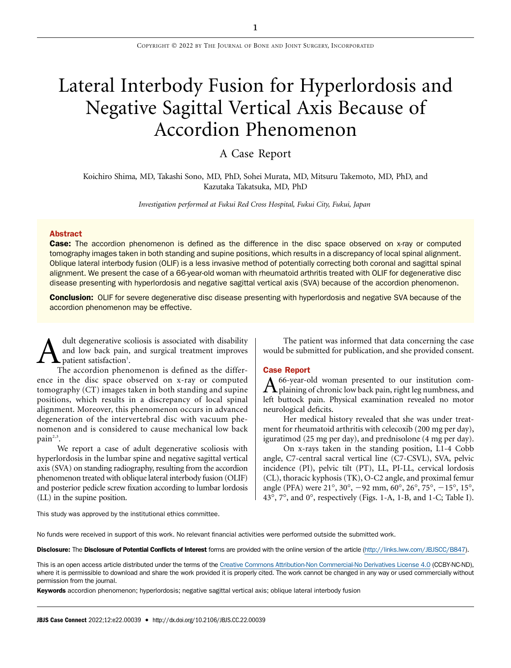# Lateral Interbody Fusion for Hyperlordosis and Negative Sagittal Vertical Axis Because of Accordion Phenomenon

A Case Report

Koichiro Shima, MD, Takashi Sono, MD, PhD, Sohei Murata, MD, Mitsuru Takemoto, MD, PhD, and Kazutaka Takatsuka, MD, PhD

Investigation performed at Fukui Red Cross Hospital, Fukui City, Fukui, Japan

### **Abstract**

Case: The accordion phenomenon is defined as the difference in the disc space observed on x-ray or computed tomography images taken in both standing and supine positions, which results in a discrepancy of local spinal alignment. Oblique lateral interbody fusion (OLIF) is a less invasive method of potentially correcting both coronal and sagittal spinal alignment. We present the case of a 66-year-old woman with rheumatoid arthritis treated with OLIF for degenerative disc disease presenting with hyperlordosis and negative sagittal vertical axis (SVA) because of the accordion phenomenon.

**Conclusion:** OLIF for severe degenerative disc disease presenting with hyperlordosis and negative SVA because of the accordion phenomenon may be effective.

A dult degenerative scoliosis is associated with disability<br>and low back pain, and surgical treatment improves<br>The accordion phenomenon is defined as the differand low back pain, and surgical treatment improves patient satisfaction<sup>1</sup>.

The accordion phenomenon is defined as the difference in the disc space observed on x-ray or computed tomography (CT) images taken in both standing and supine positions, which results in a discrepancy of local spinal alignment. Moreover, this phenomenon occurs in advanced degeneration of the intervertebral disc with vacuum phenomenon and is considered to cause mechanical low back  $\text{pain}^{2,3}$ .

We report a case of adult degenerative scoliosis with hyperlordosis in the lumbar spine and negative sagittal vertical axis (SVA) on standing radiography, resulting from the accordion phenomenon treated with oblique lateral interbody fusion (OLIF) and posterior pedicle screw fixation according to lumbar lordosis (LL) in the supine position.

The patient was informed that data concerning the case would be submitted for publication, and she provided consent.

#### Case Report

A 66-year-old woman presented to our institution com-<br>plaining of chronic low back pain, right leg numbness, and left buttock pain. Physical examination revealed no motor neurological deficits.

Her medical history revealed that she was under treatment for rheumatoid arthritis with celecoxib (200 mg per day), iguratimod (25 mg per day), and prednisolone (4 mg per day).

On x-rays taken in the standing position, L1-4 Cobb angle, C7-central sacral vertical line (C7-CSVL), SVA, pelvic incidence (PI), pelvic tilt (PT), LL, PI-LL, cervical lordosis (CL), thoracic kyphosis (TK), O-C2 angle, and proximal femur angle (PFA) were  $21^{\circ}$ ,  $30^{\circ}$ ,  $-92$  mm,  $60^{\circ}$ ,  $26^{\circ}$ ,  $75^{\circ}$ ,  $-15^{\circ}$ ,  $15^{\circ}$ , 43°, 7°, and 0°, respectively (Figs. 1-A, 1-B, and 1-C; Table I).

This study was approved by the institutional ethics committee.

No funds were received in support of this work. No relevant financial activities were performed outside the submitted work.

Disclosure: The Disclosure of Potential Conflicts of Interest forms are provided with the online version of the article [\(http://links.lww.com/JBJSCC/B847](http://links.lww.com/JBJSCC/B847)).

This is an open access article distributed under the terms of the [Creative Commons Attribution-Non Commercial-No Derivatives License 4.0](http://creativecommons.org/licenses/by-nc-nd/4.0/) (CCBY-NC-ND), where it is permissible to download and share the work provided it is properly cited. The work cannot be changed in any way or used commercially without permission from the journal.

Keywords accordion phenomenon; hyperlordosis; negative sagittal vertical axis; oblique lateral interbody fusion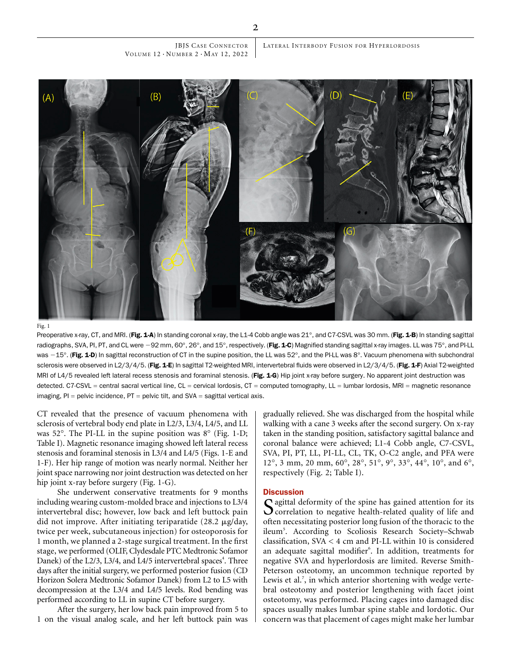JBJS CASE CONNECTOR VOLUME  $12 \cdot N$ UMBER  $2 \cdot M$ AY 12, 2022



Preoperative x-ray, CT, and MRI. (Fig. 1-A) In standing coronal x-ray, the L1-4 Cobb angle was 21°, and C7-CSVL was 30 mm. (Fig. 1-B) In standing sagittal radiographs, SVA, PI, PT, and CL were -92 mm, 60°, 26°, and 15°, respectively. (Fig. 1-C) Magnified standing sagittal x-ray images. LL was 75°, and PI-LL was -15°. (Fig. 1-D) In sagittal reconstruction of CT in the supine position, the LL was 52°, and the PI-LL was 8°. Vacuum phenomena with subchondral sclerosis were observed in L2/3/4/5. (Fig. 1-E) In sagittal T2-weighted MRI, intervertebral fluids were observed in L2/3/4/5. (Fig. 1-F) Axial T2-weighted MRI of L4/5 revealed left lateral recess stenosis and foraminal stenosis. (Fig. 1-G) Hip joint x-ray before surgery. No apparent joint destruction was detected. C7-CSVL = central sacral vertical line, CL = cervical lordosis, CT = computed tomography, LL = lumbar lordosis, MRI = magnetic resonance imaging,  $PI =$  pelvic incidence,  $PT =$  pelvic tilt, and  $SVA =$  sagittal vertical axis.

CT revealed that the presence of vacuum phenomena with sclerosis of vertebral body end plate in L2/3, L3/4, L4/5, and LL was  $52^\circ$ . The PI-LL in the supine position was  $8^\circ$  (Fig. 1-D; Table I). Magnetic resonance imaging showed left lateral recess stenosis and foraminal stenosis in L3/4 and L4/5 (Figs. 1-E and 1-F). Her hip range of motion was nearly normal. Neither her joint space narrowing nor joint destruction was detected on her hip joint x-ray before surgery (Fig. 1-G).

She underwent conservative treatments for 9 months including wearing custom-molded brace and injections to L3/4 intervertebral disc; however, low back and left buttock pain did not improve. After initiating teriparatide (28.2 mg/day, twice per week, subcutaneous injection) for osteoporosis for 1 month, we planned a 2-stage surgical treatment. In the first stage, we performed (OLIF, Clydesdale PTC Medtronic Sofamor Danek) of the L2/3, L3/4, and L4/5 intervertebral spaces<sup>4</sup>. Three days after the initial surgery, we performed posterior fusion (CD Horizon Solera Medtronic Sofamor Danek) from L2 to L5 with decompression at the L3/4 and L4/5 levels. Rod bending was performed according to LL in supine CT before surgery.

After the surgery, her low back pain improved from 5 to 1 on the visual analog scale, and her left buttock pain was

gradually relieved. She was discharged from the hospital while walking with a cane 3 weeks after the second surgery. On x-ray taken in the standing position, satisfactory sagittal balance and coronal balance were achieved; L1-4 Cobb angle, C7-CSVL, SVA, PI, PT, LL, PI-LL, CL, TK, O-C2 angle, and PFA were 12°, 3 mm, 20 mm, 60°, 28°, 51°, 9°, 33°, 44°, 10°, and 6°, respectively (Fig. 2; Table I).

## **Discussion**

Sagittal deformity of the spine has gained attention for its<br>correlation to negative health-related quality of life and often necessitating posterior long fusion of the thoracic to the ileum<sup>5</sup>. According to Scoliosis Research Society-Schwab classification, SVA < 4 cm and PI-LL within 10 is considered an adequate sagittal modifier<sup>6</sup>. In addition, treatments for negative SVA and hyperlordosis are limited. Reverse Smith-Peterson osteotomy, an uncommon technique reported by Lewis et al.<sup>7</sup>, in which anterior shortening with wedge vertebral osteotomy and posterior lengthening with facet joint osteotomy, was performed. Placing cages into damaged disc spaces usually makes lumbar spine stable and lordotic. Our concern was that placement of cages might make her lumbar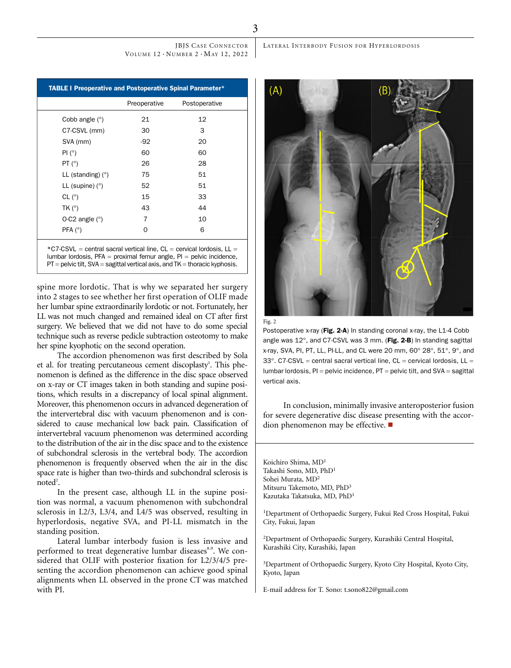JBJS CASE CONNECTOR VOLUME  $12 \cdot N$ UMBER  $2 \cdot M$ AY 12, 2022

TABLE I Preoperative and Postoperative Spinal Parameter\* Preoperative Postoperative Cobb angle  $(°)$  21 22 C7-CSVL (mm) 30 3 SVA (mm)  $-92$  20 PI (°) 60 60 PT ( $^{\circ}$ ) 26 28  $LL$  (standing) ( $\degree$ ) 75 51 LL (supine)  $(°)$  52 51 CL  $(^{\circ})$  15 33 TK  $(^{\circ})$  43 44 O-C2 angle  $(°)$  7 10 PFA  $(^{\circ})$  06

 $*C7-CSVL = central$  sacral vertical line,  $CL =$  cervical lordosis,  $LL =$ lumbar lordosis, PFA = proximal femur angle, PI = pelvic incidence,  $PT =$  pelvic tilt, SVA = sagittal vertical axis, and  $TK =$  thoracic kyphosis.

spine more lordotic. That is why we separated her surgery into 2 stages to see whether her first operation of OLIF made her lumbar spine extraordinarily lordotic or not. Fortunately, her LL was not much changed and remained ideal on CT after first surgery. We believed that we did not have to do some special technique such as reverse pedicle subtraction osteotomy to make her spine kyophotic on the second operation.

The accordion phenomenon was first described by Sola et al. for treating percutaneous cement discoplasty<sup>1</sup>. This phenomenon is defined as the difference in the disc space observed on x-ray or CT images taken in both standing and supine positions, which results in a discrepancy of local spinal alignment. Moreover, this phenomenon occurs in advanced degeneration of the intervertebral disc with vacuum phenomenon and is considered to cause mechanical low back pain. Classification of intervertebral vacuum phenomenon was determined according to the distribution of the air in the disc space and to the existence of subchondral sclerosis in the vertebral body. The accordion phenomenon is frequently observed when the air in the disc space rate is higher than two-thirds and subchondral sclerosis is  $\text{noted}^2$ .

In the present case, although LL in the supine position was normal, a vacuum phenomenon with subchondral sclerosis in L2/3, L3/4, and L4/5 was observed, resulting in hyperlordosis, negative SVA, and PI-LL mismatch in the standing position.

Lateral lumbar interbody fusion is less invasive and performed to treat degenerative lumbar diseases<sup>8,9</sup>. We considered that OLIF with posterior fixation for L2/3/4/5 presenting the accordion phenomenon can achieve good spinal alignments when LL observed in the prone CT was matched with PI.

LATERAL INTERBODY FUSION FOR HYPERLORDOSIS





Postoperative x-ray (Fig. 2-A) In standing coronal x-ray, the L1-4 Cobb angle was  $12^{\circ}$ , and C7-CSVL was 3 mm. (Fig. 2-B) In standing sagittal x-ray, SVA, PI, PT, LL, PI-LL, and CL were 20 mm, 60° 28°, 51°, 9°, and  $33^\circ$ . C7-CSVL = central sacral vertical line, CL = cervical lordosis, LL = lumbar lordosis,  $PI =$  pelvic incidence,  $PT =$  pelvic tilt, and  $SVA =$  sagittal vertical axis.

In conclusion, minimally invasive anteroposterior fusion for severe degenerative disc disease presenting with the accordion phenomenon may be effective.  $\blacksquare$ 

Koichiro Shima, MD1 Takashi Sono, MD, PhD<sup>1</sup> Sohei Murata, MD<sup>2</sup> Mitsuru Takemoto, MD, PhD<sup>3</sup> Kazutaka Takatsuka, MD, PhD<sup>1</sup>

<sup>1</sup>Department of Orthopaedic Surgery, Fukui Red Cross Hospital, Fukui City, Fukui, Japan

2 Department of Orthopaedic Surgery, Kurashiki Central Hospital, Kurashiki City, Kurashiki, Japan

<sup>3</sup>Department of Orthopaedic Surgery, Kyoto City Hospital, Kyoto City, Kyoto, Japan

E-mail address for T. Sono: [t.sono822@gmail.com](mailto:t.sono822@gmail.com)